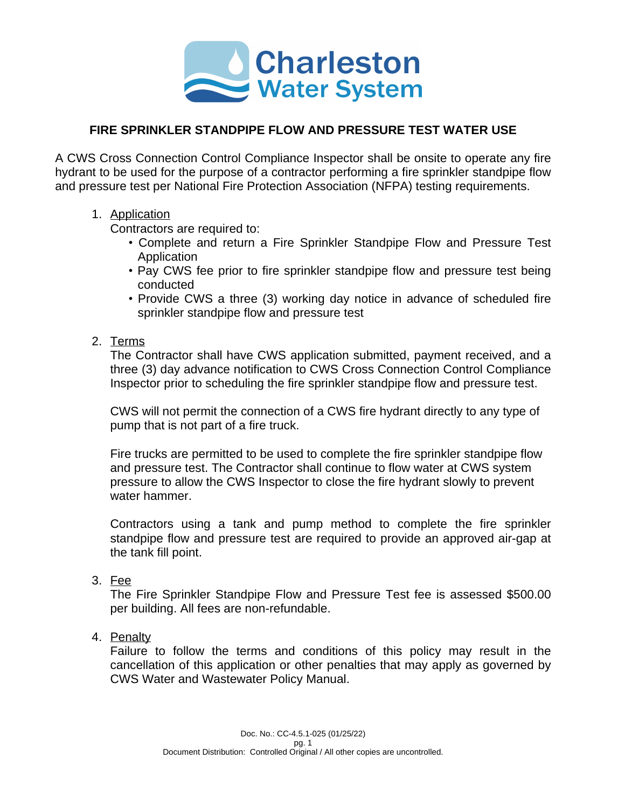

## **FIRE SPRINKLER STANDPIPE FLOW AND PRESSURE TEST WATER USE**

A CWS Cross Connection Control Compliance Inspector shall be onsite to operate any fire hydrant to be used for the purpose of a contractor performing a fire sprinkler standpipe flow and pressure test per National Fire Protection Association (NFPA) testing requirements.

## 1. Application

Contractors are required to:

- Complete and return a Fire Sprinkler Standpipe Flow and Pressure Test **Application**
- Pay CWS fee prior to fire sprinkler standpipe flow and pressure test being conducted
- Provide CWS a three (3) working day notice in advance of scheduled fire sprinkler standpipe flow and pressure test
- 2. Terms

The Contractor shall have CWS application submitted, payment received, and a three (3) day advance notification to CWS Cross Connection Control Compliance Inspector prior to scheduling the fire sprinkler standpipe flow and pressure test.

CWS will not permit the connection of a CWS fire hydrant directly to any type of pump that is not part of a fire truck.

Fire trucks are permitted to be used to complete the fire sprinkler standpipe flow and pressure test. The Contractor shall continue to flow water at CWS system pressure to allow the CWS Inspector to close the fire hydrant slowly to prevent water hammer.

Contractors using a tank and pump method to complete the fire sprinkler standpipe flow and pressure test are required to provide an approved air-gap at the tank fill point.

## 3. Fee

The Fire Sprinkler Standpipe Flow and Pressure Test fee is assessed \$500.00 per building. All fees are non-refundable.

4. Penalty

Failure to follow the terms and conditions of this policy may result in the cancellation of this application or other penalties that may apply as governed by CWS Water and Wastewater Policy Manual.